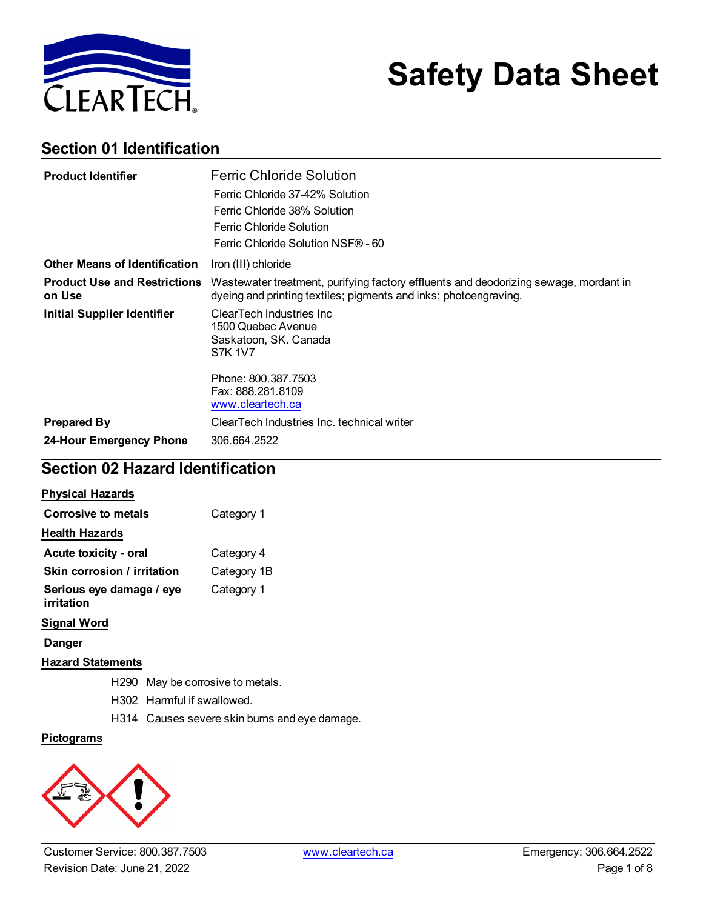

# **Safety Data Sheet**

## **Section 01 Identification**

| <b>Product Identifier</b>                     | <b>Ferric Chloride Solution</b>                                                                                                                          |
|-----------------------------------------------|----------------------------------------------------------------------------------------------------------------------------------------------------------|
|                                               | Ferric Chloride 37-42% Solution                                                                                                                          |
|                                               | Ferric Chloride 38% Solution                                                                                                                             |
|                                               | Ferric Chloride Solution                                                                                                                                 |
|                                               | Ferric Chloride Solution NSF® - 60                                                                                                                       |
| <b>Other Means of Identification</b>          | Iron (III) chloride                                                                                                                                      |
| <b>Product Use and Restrictions</b><br>on Use | Wastewater treatment, purifying factory effluents and deodorizing sewage, mordant in<br>dyeing and printing textiles; pigments and inks; photoengraving. |
| <b>Initial Supplier Identifier</b>            | ClearTech Industries Inc<br>1500 Quebec Avenue<br>Saskatoon, SK. Canada<br><b>S7K 1V7</b>                                                                |
|                                               | Phone: 800.387.7503<br>Fax: 888.281.8109<br>www.cleartech.ca                                                                                             |
| <b>Prepared By</b>                            | ClearTech Industries Inc. technical writer                                                                                                               |
| 24-Hour Emergency Phone                       | 306.664.2522                                                                                                                                             |

## **Section 02 Hazard Identification**

| <b>Physical Hazards</b>                |             |
|----------------------------------------|-------------|
| Corrosive to metals                    | Category 1  |
| <b>Health Hazards</b>                  |             |
| Acute toxicity - oral                  | Category 4  |
| Skin corrosion / irritation            | Category 1B |
| Serious eye damage / eye<br>irritation | Category 1  |
| <b>Signal Word</b>                     |             |
| Danger                                 |             |

#### **Hazard Statements**

- H290 May be corrosive to metals.
- H302 Harmful if swallowed.
- H314 Causes severe skin burns and eye damage.

#### **Pictograms**

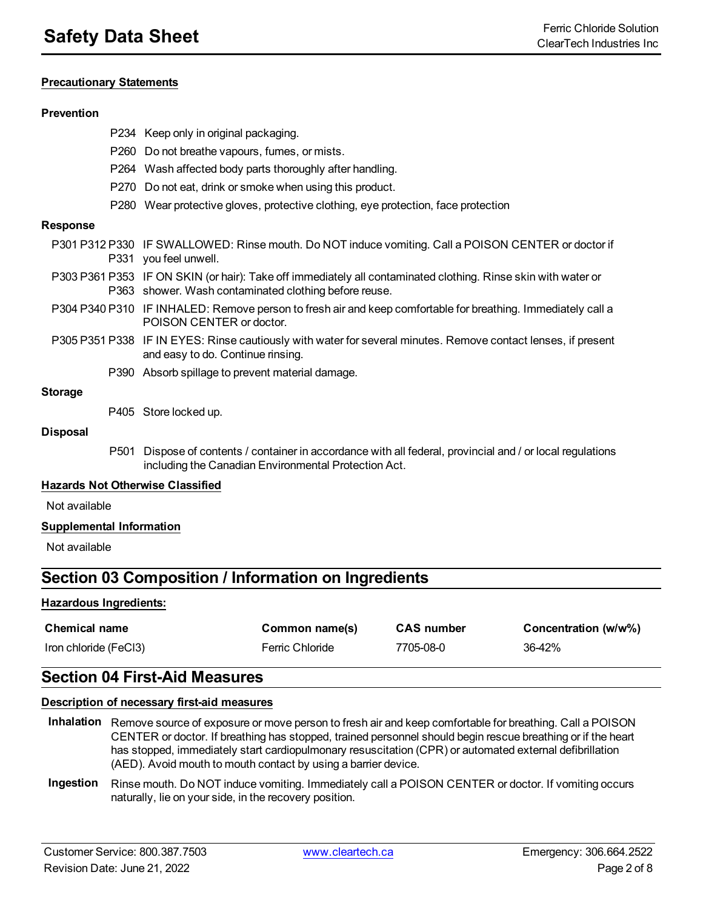#### **Precautionary Statements**

#### **Prevention**

- P234 Keep only in original packaging.
- P260 Do not breathe vapours, fumes, or mists.
- P264 Wash affected body parts thoroughly after handling.
- P270 Do not eat, drink or smoke when using this product.
- P280 Wear protective gloves, protective clothing, eye protection, face protection

#### **Response**

- P301 P312 P330 IF SWALLOWED: Rinse mouth. Do NOT induce vomiting. Call a POISON CENTER or doctor if P331 you feel unwell.
- P303 P361 P353 IF ON SKIN (or hair): Take off immediately all contaminated clothing. Rinse skin with water or P363 shower. Wash contaminated clothing before reuse.
- P304 P340 P310 IF INHALED: Remove person to fresh air and keep comfortable for breathing. Immediately call a POISON CENTER or doctor.
- P305 P351 P338 IF IN EYES: Rinse cautiously with water for several minutes. Remove contact lenses, if present and easy to do. Continue rinsing.
	- P390 Absorb spillage to prevent material damage.

#### **Storage**

P405 Store locked up.

#### **Disposal**

P501 Dispose of contents / container in accordance with all federal, provincial and / or local regulations including the Canadian Environmental Protection Act.

#### **Hazards Not Otherwise Classified**

Not available

#### **Supplemental Information**

Not available

## **Section 03 Composition / Information on Ingredients**

#### **Hazardous Ingredients:**

| <b>Chemical name</b>  | Common name(s)  | <b>CAS number</b> | Concentration (w/w%) |
|-----------------------|-----------------|-------------------|----------------------|
| Iron chloride (FeCl3) | Ferric Chloride | 7705-08-0         | 36-42%               |

#### **Section 04 First-Aid Measures**

#### **Description of necessary first-aid measures**

- **Inhalation** Remove source of exposure or move person to fresh air and keep comfortable for breathing. Call a POISON CENTER or doctor. If breathing has stopped, trained personnel should begin rescue breathing or if the heart has stopped, immediately start cardiopulmonary resuscitation (CPR) or automated external defibrillation (AED). Avoid mouth to mouth contact by using a barrier device.
- **Ingestion** Rinse mouth. Do NOT induce vomiting. Immediately call a POISON CENTER or doctor. If vomiting occurs naturally, lie on your side, in the recovery position.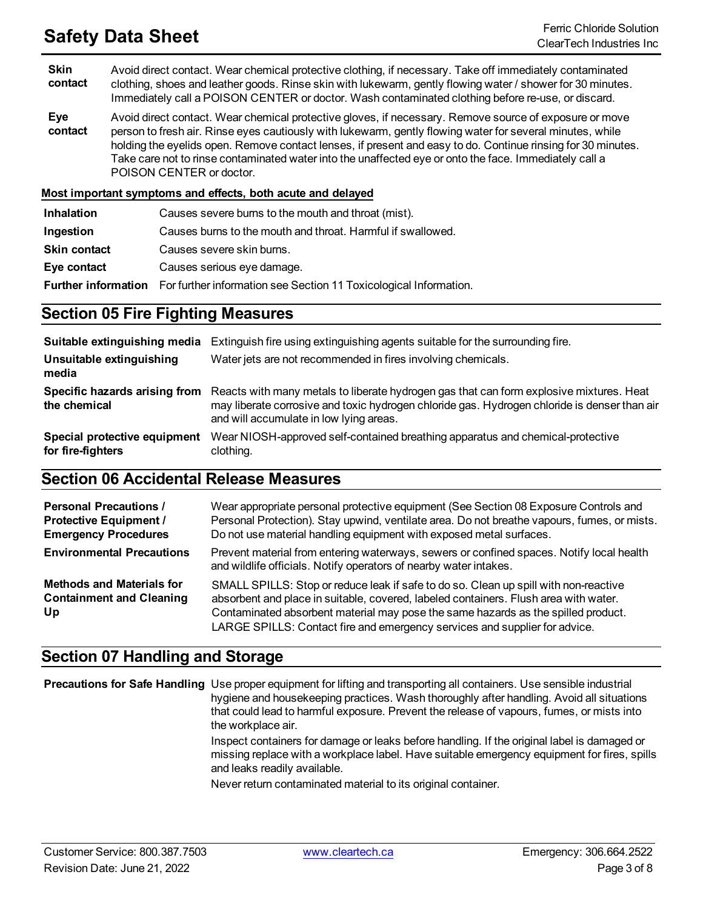## **Safety Data Sheet** Ferric Chloride Solution

**Skin contact** Avoid direct contact. Wear chemical protective clothing, if necessary. Take off immediately contaminated clothing, shoes and leather goods. Rinse skin with lukewarm, gently flowing water / shower for 30 minutes. Immediately call a POISON CENTER or doctor. Wash contaminated clothing before re-use, or discard.

**Eye contact** Avoid direct contact. Wear chemical protective gloves, if necessary. Remove source of exposure or move person to fresh air. Rinse eyes cautiously with lukewarm, gently flowing water for several minutes, while holding the eyelids open. Remove contact lenses, if present and easy to do. Continue rinsing for 30 minutes. Take care not to rinse contaminated water into the unaffected eye or onto the face. Immediately call a POISON CENTER or doctor.

**Most important symptoms and effects, both acute and delayed**

| <b>Inhalation</b>   | Causes severe burns to the mouth and throat (mist).                                          |
|---------------------|----------------------------------------------------------------------------------------------|
| Ingestion           | Causes burns to the mouth and throat. Harmful if swallowed.                                  |
| <b>Skin contact</b> | Causes severe skin burns.                                                                    |
| Eye contact         | Causes serious eye damage.                                                                   |
|                     | <b>Further information</b> For further information see Section 11 Toxicological Information. |

### **Section 05 Fire Fighting Measures**

| Suitable extinguishing media                      | Extinguish fire using extinguishing agents suitable for the surrounding fire.                                                                                                                                                      |
|---------------------------------------------------|------------------------------------------------------------------------------------------------------------------------------------------------------------------------------------------------------------------------------------|
| Unsuitable extinguishing<br>media                 | Water jets are not recommended in fires involving chemicals.                                                                                                                                                                       |
| Specific hazards arising from<br>the chemical     | Reacts with many metals to liberate hydrogen gas that can form explosive mixtures. Heat<br>may liberate corrosive and toxic hydrogen chloride gas. Hydrogen chloride is denser than air<br>and will accumulate in low lying areas. |
| Special protective equipment<br>for fire-fighters | Wear NIOSH-approved self-contained breathing apparatus and chemical-protective<br>clothing.                                                                                                                                        |

### **Section 06 Accidental Release Measures**

| <b>Personal Precautions /</b><br><b>Protective Equipment /</b><br><b>Emergency Procedures</b> | Wear appropriate personal protective equipment (See Section 08 Exposure Controls and<br>Personal Protection). Stay upwind, ventilate area. Do not breathe vapours, fumes, or mists.<br>Do not use material handling equipment with exposed metal surfaces.                                                                                      |
|-----------------------------------------------------------------------------------------------|-------------------------------------------------------------------------------------------------------------------------------------------------------------------------------------------------------------------------------------------------------------------------------------------------------------------------------------------------|
| <b>Environmental Precautions</b>                                                              | Prevent material from entering waterways, sewers or confined spaces. Notify local health<br>and wildlife officials. Notify operators of nearby water intakes.                                                                                                                                                                                   |
| <b>Methods and Materials for</b><br><b>Containment and Cleaning</b><br>Up                     | SMALL SPILLS: Stop or reduce leak if safe to do so. Clean up spill with non-reactive<br>absorbent and place in suitable, covered, labeled containers. Flush area with water.<br>Contaminated absorbent material may pose the same hazards as the spilled product.<br>LARGE SPILLS: Contact fire and emergency services and supplier for advice. |

## **Section 07 Handling and Storage**

**Precautions for Safe Handling** Use proper equipment for lifting and transporting all containers. Use sensible industrial hygiene and housekeeping practices. Wash thoroughly after handling. Avoid all situations that could lead to harmful exposure. Prevent the release of vapours, fumes, or mists into the workplace air. Inspect containers for damage or leaks before handling. If the original label is damaged or missing replace with a workplace label. Have suitable emergency equipment for fires, spills and leaks readily available.

Never return contaminated material to its original container.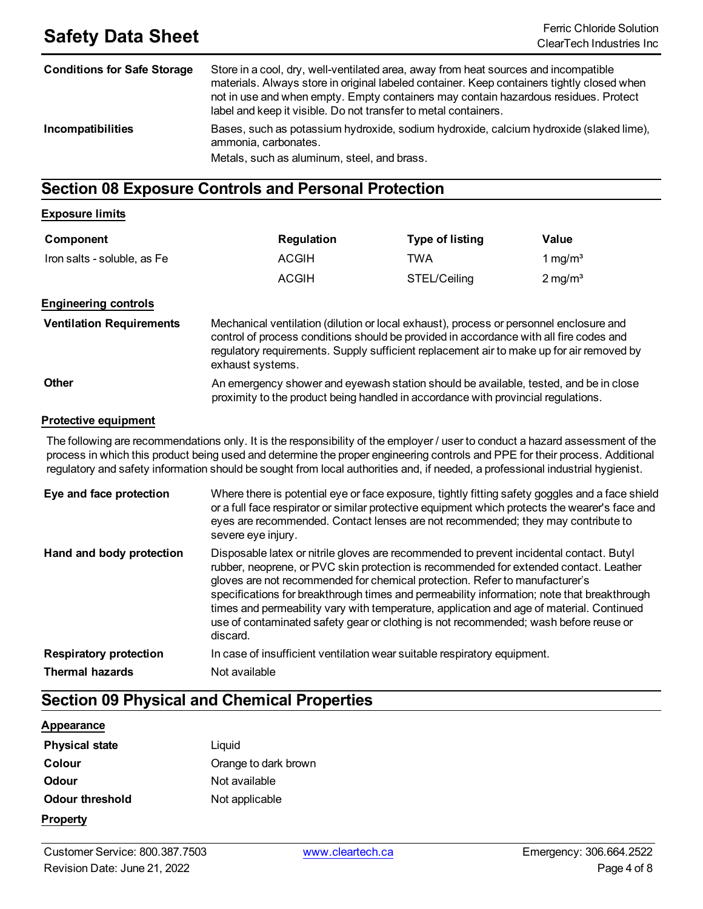| <b>Conditions for Safe Storage</b> | Store in a cool, dry, well-ventilated area, away from heat sources and incompatible<br>materials. Always store in original labeled container. Keep containers tightly closed when<br>not in use and when empty. Empty containers may contain hazardous residues. Protect<br>label and keep it visible. Do not transfer to metal containers. |
|------------------------------------|---------------------------------------------------------------------------------------------------------------------------------------------------------------------------------------------------------------------------------------------------------------------------------------------------------------------------------------------|
| <b>Incompatibilities</b>           | Bases, such as potassium hydroxide, sodium hydroxide, calcium hydroxide (slaked lime),<br>ammonia, carbonates.<br>Metals, such as aluminum, steel, and brass.                                                                                                                                                                               |

## **Section 08 Exposure Controls and Personal Protection**

#### **Exposure limits**

| Component                       | <b>Regulation</b>                                                                  | <b>Type of listing</b> | Value                 |
|---------------------------------|------------------------------------------------------------------------------------|------------------------|-----------------------|
| Iron salts - soluble, as Fe     | <b>ACGIH</b>                                                                       | TWA                    | 1 mg/m <sup>3</sup>   |
|                                 | <b>ACGIH</b>                                                                       | STEL/Ceiling           | $2 \,\mathrm{mg/m^3}$ |
| <b>Engineering controls</b>     |                                                                                    |                        |                       |
| <b>Ventilation Requirements</b> | Mechanical ventilation (dilution or local exhaust), process or personnel enclosure |                        |                       |

| Mechanical ventilation (dilution or local exhaust), process or personnel enclosure and                        |
|---------------------------------------------------------------------------------------------------------------|
| control of process conditions should be provided in accordance with all fire codes and                        |
| requisitory requirements. Supply sufficient replacement air to make up for air removed by<br>exhaust systems. |
|                                                                                                               |

#### **Other An emergency shower and eyewash station should be available, tested, and be in close** proximity to the product being handled in accordance with provincial regulations.

#### **Protective equipment**

The following are recommendations only. It is the responsibility of the employer / user to conduct a hazard assessment of the process in which this product being used and determine the proper engineering controls and PPE for their process. Additional regulatory and safety information should be sought from local authorities and, if needed, a professional industrial hygienist.

| Eye and face protection       | Where there is potential eye or face exposure, tightly fitting safety goggles and a face shield<br>or a full face respirator or similar protective equipment which protects the wearer's face and<br>eyes are recommended. Contact lenses are not recommended; they may contribute to<br>severe eye injury.                                                                                                                                                                                                                                                   |
|-------------------------------|---------------------------------------------------------------------------------------------------------------------------------------------------------------------------------------------------------------------------------------------------------------------------------------------------------------------------------------------------------------------------------------------------------------------------------------------------------------------------------------------------------------------------------------------------------------|
| Hand and body protection      | Disposable latex or nitrile gloves are recommended to prevent incidental contact. Butyl<br>rubber, neoprene, or PVC skin protection is recommended for extended contact. Leather<br>gloves are not recommended for chemical protection. Refer to manufacturer's<br>specifications for breakthrough times and permeability information; note that breakthrough<br>times and permeability vary with temperature, application and age of material. Continued<br>use of contaminated safety gear or clothing is not recommended; wash before reuse or<br>discard. |
| <b>Respiratory protection</b> | In case of insufficient ventilation wear suitable respiratory equipment.                                                                                                                                                                                                                                                                                                                                                                                                                                                                                      |
| <b>Thermal hazards</b>        | Not available                                                                                                                                                                                                                                                                                                                                                                                                                                                                                                                                                 |

## **Section 09 Physical and Chemical Properties**

#### **Appearance**

| <b>Physical state</b> | Liquid               |
|-----------------------|----------------------|
| Colour                | Orange to dark brown |
| Odour                 | Not available        |
| Odour threshold       | Not applicable       |
| <b>Property</b>       |                      |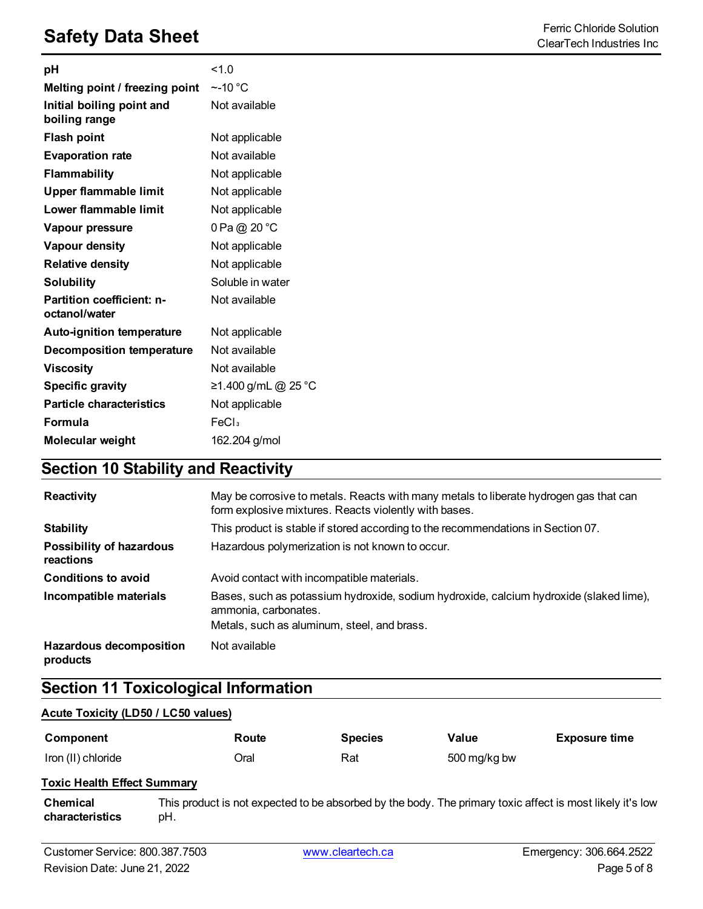## **Safety Data Sheet** Ferric Chloride Solution<br>ClearTech Industries Inc.

| pH                                         | 1.0                 |
|--------------------------------------------|---------------------|
| Melting point / freezing point             | $~\sim$ -10 °C      |
| Initial boiling point and<br>boiling range | Not available       |
| Flash point                                | Not applicable      |
| <b>Evaporation rate</b>                    | Not available       |
| Flammability                               | Not applicable      |
| Upper flammable limit                      | Not applicable      |
| Lower flammable limit                      | Not applicable      |
| Vapour pressure                            | 0 Pa @ 20 °C        |
| Vapour density                             | Not applicable      |
| <b>Relative density</b>                    | Not applicable      |
| <b>Solubility</b>                          | Soluble in water    |
| Partition coefficient: n-<br>octanol/water | Not available       |
| <b>Auto-ignition temperature</b>           | Not applicable      |
| <b>Decomposition temperature</b>           | Not available       |
| <b>Viscosity</b>                           | Not available       |
| <b>Specific gravity</b>                    | ≥1.400 g/mL @ 25 °C |
| <b>Particle characteristics</b>            | Not applicable      |
| Formula                                    | FeCl <sub>3</sub>   |
| Molecular weight                           | 162.204 g/mol       |

## **Section 10 Stability and Reactivity**

| Reactivity                                   | May be corrosive to metals. Reacts with many metals to liberate hydrogen gas that can<br>form explosive mixtures. Reacts violently with bases.                |
|----------------------------------------------|---------------------------------------------------------------------------------------------------------------------------------------------------------------|
| <b>Stability</b>                             | This product is stable if stored according to the recommendations in Section 07.                                                                              |
| <b>Possibility of hazardous</b><br>reactions | Hazardous polymerization is not known to occur.                                                                                                               |
| <b>Conditions to avoid</b>                   | Avoid contact with incompatible materials.                                                                                                                    |
| Incompatible materials                       | Bases, such as potassium hydroxide, sodium hydroxide, calcium hydroxide (slaked lime),<br>ammonia, carbonates,<br>Metals, such as aluminum, steel, and brass. |
| <b>Hazardous decomposition</b><br>products   | Not available                                                                                                                                                 |

## **Section 11 Toxicological Information**

#### **Acute Toxicity (LD50 / LC50 values)**

| Component          | Route | <b>Species</b> | Value        | <b>Exposure time</b> |
|--------------------|-------|----------------|--------------|----------------------|
| Iron (II) chloride | Oral  | Rat            | 500 mg/kg bw |                      |

#### **Toxic Health Effect Summary**

**Chemical characteristics** This product is not expected to be absorbed by the body. The primary toxic affect is most likely it's low pH.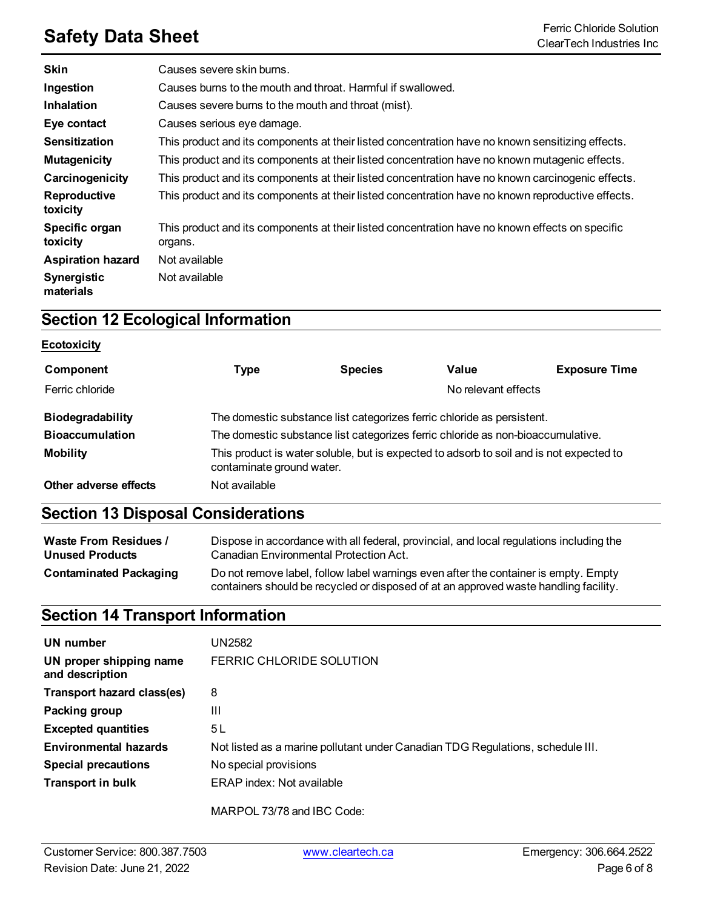## **Safety Data Sheet**<br>ClearTech Industries Inc.

| <b>Skin</b>                     | Causes severe skin burns.                                                                                  |
|---------------------------------|------------------------------------------------------------------------------------------------------------|
| Ingestion                       | Causes burns to the mouth and throat. Harmful if swallowed.                                                |
| Inhalation                      | Causes severe burns to the mouth and throat (mist).                                                        |
| Eye contact                     | Causes serious eye damage.                                                                                 |
| <b>Sensitization</b>            | This product and its components at their listed concentration have no known sensitizing effects.           |
| <b>Mutagenicity</b>             | This product and its components at their listed concentration have no known mutagenic effects.             |
| Carcinogenicity                 | This product and its components at their listed concentration have no known carcinogenic effects.          |
| Reproductive<br>toxicity        | This product and its components at their listed concentration have no known reproductive effects.          |
| Specific organ<br>toxicity      | This product and its components at their listed concentration have no known effects on specific<br>organs. |
| <b>Aspiration hazard</b>        | Not available                                                                                              |
| <b>Synergistic</b><br>materials | Not available                                                                                              |

## **Section 12 Ecological Information**

#### **Ecotoxicity**

| Component               | Type                                                                                                                 | <b>Species</b> | Value               | <b>Exposure Time</b> |
|-------------------------|----------------------------------------------------------------------------------------------------------------------|----------------|---------------------|----------------------|
| Ferric chloride         |                                                                                                                      |                | No relevant effects |                      |
| <b>Biodegradability</b> | The domestic substance list categorizes ferric chloride as persistent.                                               |                |                     |                      |
| <b>Bioaccumulation</b>  | The domestic substance list categorizes ferric chloride as non-bioaccumulative.                                      |                |                     |                      |
| <b>Mobility</b>         | This product is water soluble, but is expected to adsorb to soil and is not expected to<br>contaminate ground water. |                |                     |                      |
| Other adverse effects   | Not available                                                                                                        |                |                     |                      |

## **Section 13 Disposal Considerations**

| <b>Waste From Residues /</b>  | Dispose in accordance with all federal, provincial, and local regulations including the                                                                                     |  |  |
|-------------------------------|-----------------------------------------------------------------------------------------------------------------------------------------------------------------------------|--|--|
| <b>Unused Products</b>        | Canadian Environmental Protection Act.                                                                                                                                      |  |  |
| <b>Contaminated Packaging</b> | Do not remove label, follow label warnings even after the container is empty. Empty<br>containers should be recycled or disposed of at an approved waste handling facility. |  |  |

## **Section 14 Transport Information**

| UN number<br>UN proper shipping name<br>and description | UN2582<br>FERRIC CHLORIDE SOLUTION                                             |
|---------------------------------------------------------|--------------------------------------------------------------------------------|
| Transport hazard class(es)                              | 8                                                                              |
| Packing group                                           | Ш                                                                              |
| <b>Excepted quantities</b>                              | 5 L                                                                            |
| <b>Environmental hazards</b>                            | Not listed as a marine pollutant under Canadian TDG Regulations, schedule III. |
| <b>Special precautions</b>                              | No special provisions                                                          |
| <b>Transport in bulk</b>                                | ERAP index: Not available                                                      |
|                                                         | MARPOL 73/78 and IBC Code:                                                     |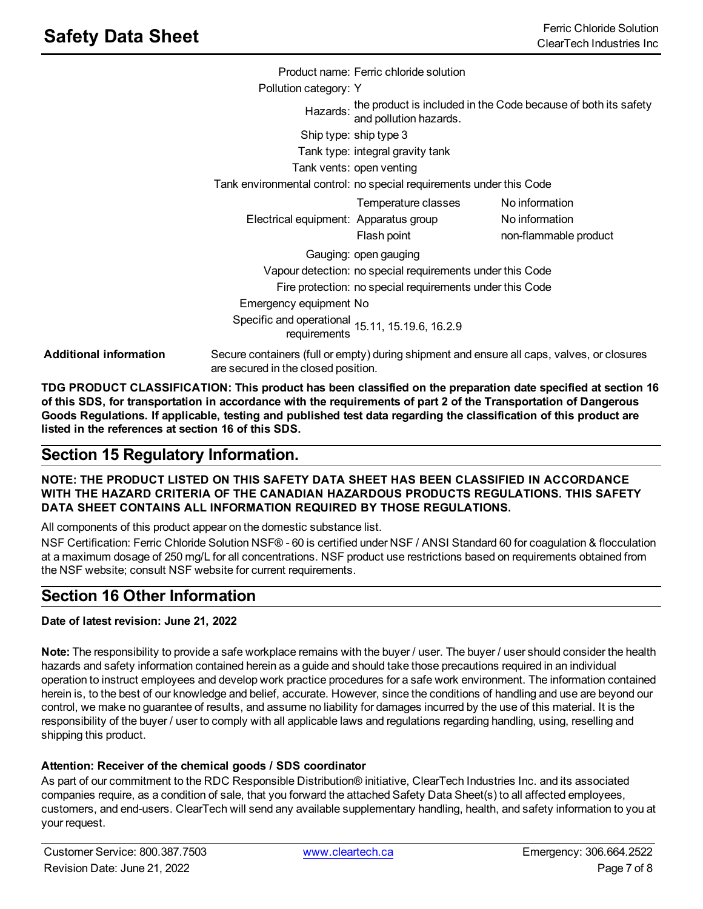|                               |                                                                                        | Product name: Ferric chloride solution                              |                                                                                                   |
|-------------------------------|----------------------------------------------------------------------------------------|---------------------------------------------------------------------|---------------------------------------------------------------------------------------------------|
|                               | Pollution category: Y                                                                  |                                                                     |                                                                                                   |
|                               |                                                                                        |                                                                     | Hazards: the product is included in the Code because of both its safety<br>and pollution hazards. |
|                               |                                                                                        | Ship type: ship type 3                                              |                                                                                                   |
|                               |                                                                                        | Tank type: integral gravity tank                                    |                                                                                                   |
|                               |                                                                                        | Tank vents: open venting                                            |                                                                                                   |
|                               |                                                                                        | Tank environmental control: no special requirements under this Code |                                                                                                   |
|                               |                                                                                        | Temperature classes                                                 | No information                                                                                    |
|                               | Electrical equipment: Apparatus group                                                  |                                                                     | No information                                                                                    |
|                               |                                                                                        | Flash point                                                         | non-flammable product                                                                             |
|                               |                                                                                        | Gauging: open gauging                                               |                                                                                                   |
|                               |                                                                                        | Vapour detection: no special requirements under this Code           |                                                                                                   |
|                               |                                                                                        | Fire protection: no special requirements under this Code            |                                                                                                   |
|                               | Emergency equipment No                                                                 |                                                                     |                                                                                                   |
|                               | Specific and operational 15.11, 15.19.6, 16.2.9<br>requirements 15.11, 15.19.6, 16.2.9 |                                                                     |                                                                                                   |
| <b>Additional information</b> | are secured in the closed position.                                                    |                                                                     | Secure containers (full or empty) during shipment and ensure all caps, valves, or closures        |

**TDG PRODUCT CLASSIFICATION: This product has been classified on the preparation date specified at section 16** of this SDS, for transportation in accordance with the requirements of part 2 of the Transportation of Dangerous Goods Regulations. If applicable, testing and published test data regarding the classification of this product are **listed in the references at section 16 of this SDS.**

## **Section 15 Regulatory Information.**

#### **NOTE: THE PRODUCT LISTED ON THIS SAFETY DATA SHEET HAS BEEN CLASSIFIED IN ACCORDANCE WITH THE HAZARD CRITERIA OF THE CANADIAN HAZARDOUS PRODUCTS REGULATIONS. THIS SAFETY DATA SHEET CONTAINS ALL INFORMATION REQUIRED BY THOSE REGULATIONS.**

All components of this product appear on the domestic substance list.

NSF Certification: Ferric Chloride Solution NSF® - 60 is certified under NSF / ANSI Standard 60 for coagulation & flocculation at a maximum dosage of 250 mg/L for all concentrations. NSF product use restrictions based on requirements obtained from the NSF website; consult NSF website for current requirements.

## **Section 16 Other Information**

#### **Date of latest revision: June 21, 2022**

**Note:** The responsibility to provide a safe workplace remains with the buyer / user. The buyer / user should consider the health hazards and safety information contained herein as a guide and should take those precautions required in an individual operation to instruct employees and develop work practice procedures for a safe work environment. The information contained herein is, to the best of our knowledge and belief, accurate. However, since the conditions of handling and use are beyond our control, we make no guarantee of results, and assume no liability for damages incurred by the use of this material. It is the responsibility of the buyer / user to comply with all applicable laws and regulations regarding handling, using, reselling and shipping this product.

#### **Attention: Receiver of the chemical goods / SDS coordinator**

As part of our commitment to the RDC Responsible Distribution® initiative, ClearTech Industries Inc. and its associated companies require, as a condition of sale, that you forward the attached Safety Data Sheet(s) to all affected employees, customers, and end-users. ClearTech will send any available supplementary handling, health, and safety information to you at your request.